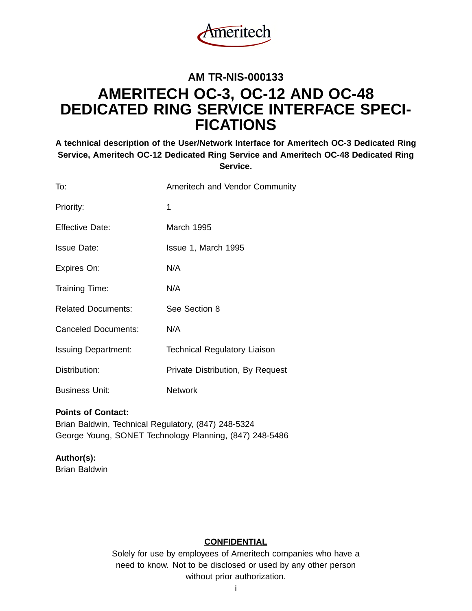

# **AM TR-NIS-000133 AMERITECH OC-3, OC-12 AND OC-48 DEDICATED RING SERVICE INTERFACE SPECI-FICATIONS**

**A technical description of the User/Network Interface for Ameritech OC-3 Dedicated Ring Service, Ameritech OC-12 Dedicated Ring Service and Ameritech OC-48 Dedicated Ring Service.**

| To:                        | Ameritech and Vendor Community      |
|----------------------------|-------------------------------------|
| Priority:                  | 1                                   |
| <b>Effective Date:</b>     | March 1995                          |
| <b>Issue Date:</b>         | Issue 1, March 1995                 |
| Expires On:                | N/A                                 |
| Training Time:             | N/A                                 |
| <b>Related Documents:</b>  | See Section 8                       |
| <b>Canceled Documents:</b> | N/A                                 |
| <b>Issuing Department:</b> | <b>Technical Regulatory Liaison</b> |
| Distribution:              | Private Distribution, By Request    |
| <b>Business Unit:</b>      | <b>Network</b>                      |

### **Points of Contact:**

Brian Baldwin, Technical Regulatory, (847) 248-5324 George Young, SONET Technology Planning, (847) 248-5486

### **Author(s):**

Brian Baldwin

### **CONFIDENTIAL**

Solely for use by employees of Ameritech companies who have a need to know. Not to be disclosed or used by any other person without prior authorization.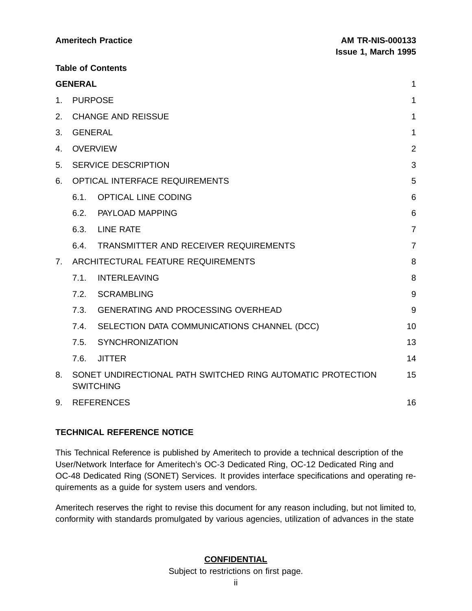**Table of Contents**

|                | <b>GENERAL</b> |                                                                                 | $\mathbf{1}$   |
|----------------|----------------|---------------------------------------------------------------------------------|----------------|
| $1_{-}$        | <b>PURPOSE</b> |                                                                                 | 1              |
| 2.             |                | <b>CHANGE AND REISSUE</b>                                                       | 1              |
| 3.             | <b>GENERAL</b> |                                                                                 | 1              |
| 4.             |                | <b>OVERVIEW</b>                                                                 | $\overline{2}$ |
| 5 <sub>1</sub> |                | <b>SERVICE DESCRIPTION</b>                                                      | 3              |
| 6.             |                | OPTICAL INTERFACE REQUIREMENTS                                                  | 5              |
|                | 6.1.           | <b>OPTICAL LINE CODING</b>                                                      | 6              |
|                | 6.2.           | PAYLOAD MAPPING                                                                 | 6              |
|                | 6.3.           | <b>LINE RATE</b>                                                                | $\overline{7}$ |
|                | 6.4.           | TRANSMITTER AND RECEIVER REQUIREMENTS                                           | $\overline{7}$ |
| 7 <sub>1</sub> |                | ARCHITECTURAL FEATURE REQUIREMENTS                                              | 8              |
|                | 7.1.           | <b>INTERLEAVING</b>                                                             | 8              |
|                | 7.2.           | SCRAMBLING                                                                      | 9              |
|                | 7.3.           | <b>GENERATING AND PROCESSING OVERHEAD</b>                                       | 9              |
|                | 74             | SELECTION DATA COMMUNICATIONS CHANNEL (DCC)                                     | 10             |
|                | 7.5.           | <b>SYNCHRONIZATION</b>                                                          | 13             |
|                | 7.6.           | <b>JITTER</b>                                                                   | 14             |
| 8.             |                | SONET UNDIRECTIONAL PATH SWITCHED RING AUTOMATIC PROTECTION<br><b>SWITCHING</b> | 15             |
| 9.             |                | <b>REFERENCES</b>                                                               | 16             |

### **TECHNICAL REFERENCE NOTICE**

This Technical Reference is published by Ameritech to provide a technical description of the User/Network Interface for Ameritech's OC-3 Dedicated Ring, OC-12 Dedicated Ring and OC-48 Dedicated Ring (SONET) Services. It provides interface specifications and operating requirements as a guide for system users and vendors.

Ameritech reserves the right to revise this document for any reason including, but not limited to, conformity with standards promulgated by various agencies, utilization of advances in the state

### **CONFIDENTIAL**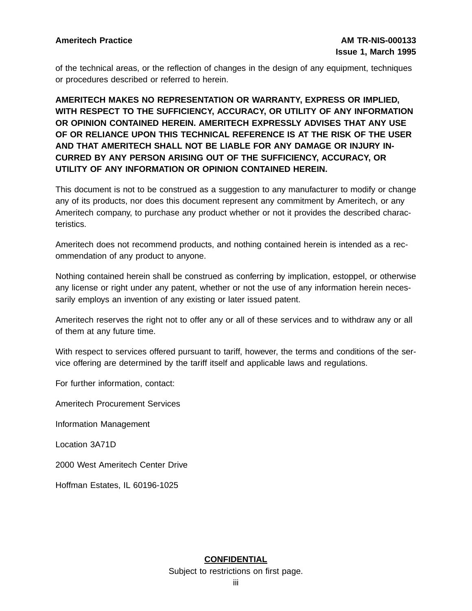of the technical areas, or the reflection of changes in the design of any equipment, techniques or procedures described or referred to herein.

**AMERITECH MAKES NO REPRESENTATION OR WARRANTY, EXPRESS OR IMPLIED, WITH RESPECT TO THE SUFFICIENCY, ACCURACY, OR UTILITY OF ANY INFORMATION OR OPINION CONTAINED HEREIN. AMERITECH EXPRESSLY ADVISES THAT ANY USE OF OR RELIANCE UPON THIS TECHNICAL REFERENCE IS AT THE RISK OF THE USER AND THAT AMERITECH SHALL NOT BE LIABLE FOR ANY DAMAGE OR INJURY IN-CURRED BY ANY PERSON ARISING OUT OF THE SUFFICIENCY, ACCURACY, OR UTILITY OF ANY INFORMATION OR OPINION CONTAINED HEREIN.**

This document is not to be construed as a suggestion to any manufacturer to modify or change any of its products, nor does this document represent any commitment by Ameritech, or any Ameritech company, to purchase any product whether or not it provides the described characteristics.

Ameritech does not recommend products, and nothing contained herein is intended as a recommendation of any product to anyone.

Nothing contained herein shall be construed as conferring by implication, estoppel, or otherwise any license or right under any patent, whether or not the use of any information herein necessarily employs an invention of any existing or later issued patent.

Ameritech reserves the right not to offer any or all of these services and to withdraw any or all of them at any future time.

With respect to services offered pursuant to tariff, however, the terms and conditions of the service offering are determined by the tariff itself and applicable laws and regulations.

For further information, contact:

Ameritech Procurement Services

Information Management

Location 3A71D

2000 West Ameritech Center Drive

Hoffman Estates, IL 60196-1025

#### **CONFIDENTIAL**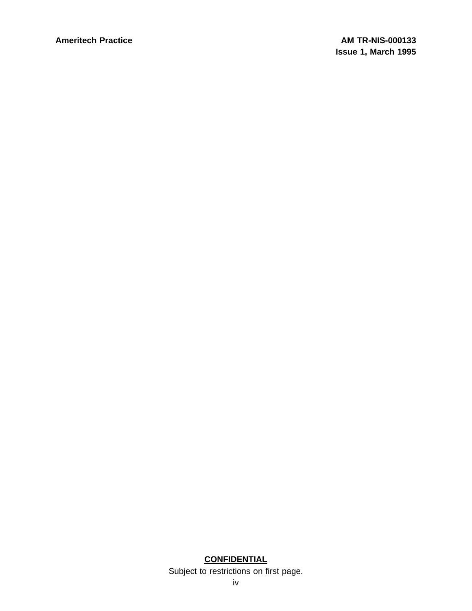# **CONFIDENTIAL**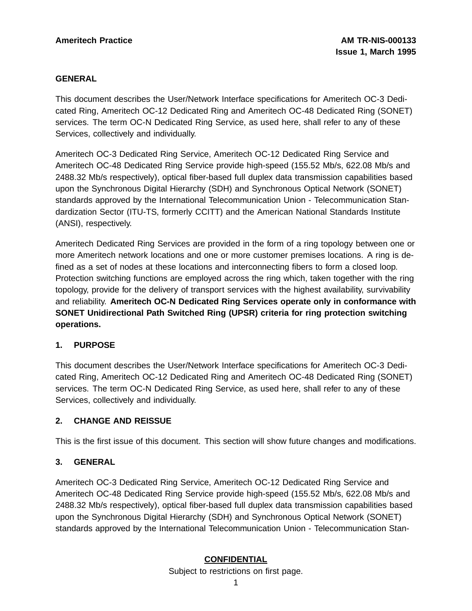### **GENERAL**

This document describes the User/Network Interface specifications for Ameritech OC-3 Dedicated Ring, Ameritech OC-12 Dedicated Ring and Ameritech OC-48 Dedicated Ring (SONET) services. The term OC-N Dedicated Ring Service, as used here, shall refer to any of these Services, collectively and individually.

Ameritech OC-3 Dedicated Ring Service, Ameritech OC-12 Dedicated Ring Service and Ameritech OC-48 Dedicated Ring Service provide high-speed (155.52 Mb/s, 622.08 Mb/s and 2488.32 Mb/s respectively), optical fiber-based full duplex data transmission capabilities based upon the Synchronous Digital Hierarchy (SDH) and Synchronous Optical Network (SONET) standards approved by the International Telecommunication Union - Telecommunication Standardization Sector (ITU-TS, formerly CCITT) and the American National Standards Institute (ANSI), respectively.

Ameritech Dedicated Ring Services are provided in the form of a ring topology between one or more Ameritech network locations and one or more customer premises locations. A ring is defined as a set of nodes at these locations and interconnecting fibers to form a closed loop. Protection switching functions are employed across the ring which, taken together with the ring topology, provide for the delivery of transport services with the highest availability, survivability and reliability. **Ameritech OC-N Dedicated Ring Services operate only in conformance with SONET Unidirectional Path Switched Ring (UPSR) criteria for ring protection switching operations.**

# **1. PURPOSE**

This document describes the User/Network Interface specifications for Ameritech OC-3 Dedicated Ring, Ameritech OC-12 Dedicated Ring and Ameritech OC-48 Dedicated Ring (SONET) services. The term OC-N Dedicated Ring Service, as used here, shall refer to any of these Services, collectively and individually.

# **2. CHANGE AND REISSUE**

This is the first issue of this document. This section will show future changes and modifications.

# **3. GENERAL**

Ameritech OC-3 Dedicated Ring Service, Ameritech OC-12 Dedicated Ring Service and Ameritech OC-48 Dedicated Ring Service provide high-speed (155.52 Mb/s, 622.08 Mb/s and 2488.32 Mb/s respectively), optical fiber-based full duplex data transmission capabilities based upon the Synchronous Digital Hierarchy (SDH) and Synchronous Optical Network (SONET) standards approved by the International Telecommunication Union - Telecommunication Stan-

# **CONFIDENTIAL**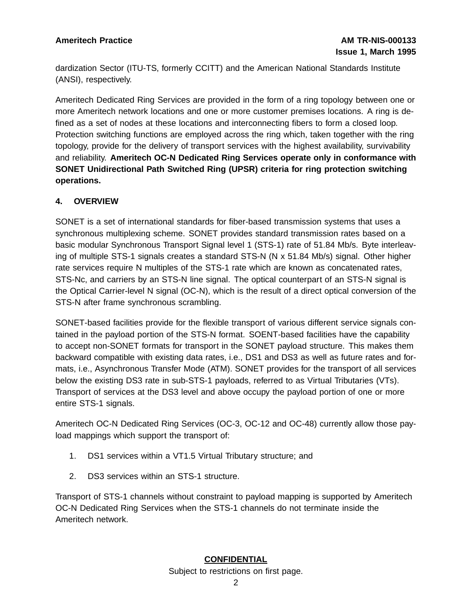dardization Sector (ITU-TS, formerly CCITT) and the American National Standards Institute (ANSI), respectively.

Ameritech Dedicated Ring Services are provided in the form of a ring topology between one or more Ameritech network locations and one or more customer premises locations. A ring is defined as a set of nodes at these locations and interconnecting fibers to form a closed loop. Protection switching functions are employed across the ring which, taken together with the ring topology, provide for the delivery of transport services with the highest availability, survivability and reliability. **Ameritech OC-N Dedicated Ring Services operate only in conformance with SONET Unidirectional Path Switched Ring (UPSR) criteria for ring protection switching operations.**

### **4. OVERVIEW**

SONET is a set of international standards for fiber-based transmission systems that uses a synchronous multiplexing scheme. SONET provides standard transmission rates based on a basic modular Synchronous Transport Signal level 1 (STS-1) rate of 51.84 Mb/s. Byte interleaving of multiple STS-1 signals creates a standard STS-N (N x 51.84 Mb/s) signal. Other higher rate services require N multiples of the STS-1 rate which are known as concatenated rates, STS-Nc, and carriers by an STS-N line signal. The optical counterpart of an STS-N signal is the Optical Carrier-level N signal (OC-N), which is the result of a direct optical conversion of the STS-N after frame synchronous scrambling.

SONET-based facilities provide for the flexible transport of various different service signals contained in the payload portion of the STS-N format. SOENT-based facilities have the capability to accept non-SONET formats for transport in the SONET payload structure. This makes them backward compatible with existing data rates, i.e., DS1 and DS3 as well as future rates and formats, i.e., Asynchronous Transfer Mode (ATM). SONET provides for the transport of all services below the existing DS3 rate in sub-STS-1 payloads, referred to as Virtual Tributaries (VTs). Transport of services at the DS3 level and above occupy the payload portion of one or more entire STS-1 signals.

Ameritech OC-N Dedicated Ring Services (OC-3, OC-12 and OC-48) currently allow those payload mappings which support the transport of:

- 1. DS1 services within a VT1.5 Virtual Tributary structure; and
- 2. DS3 services within an STS-1 structure.

Transport of STS-1 channels without constraint to payload mapping is supported by Ameritech OC-N Dedicated Ring Services when the STS-1 channels do not terminate inside the Ameritech network.

# **CONFIDENTIAL**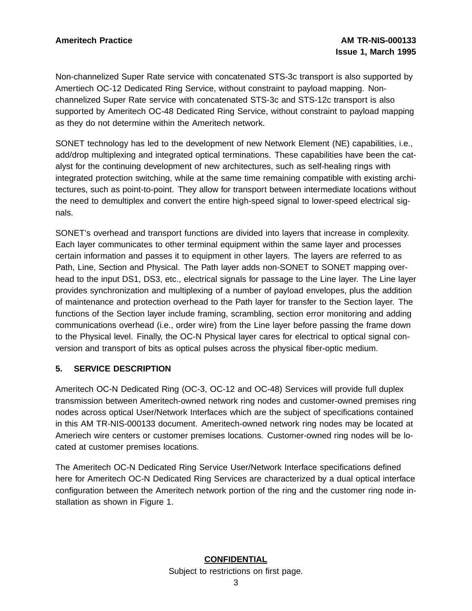Non-channelized Super Rate service with concatenated STS-3c transport is also supported by Amertiech OC-12 Dedicated Ring Service, without constraint to payload mapping. Nonchannelized Super Rate service with concatenated STS-3c and STS-12c transport is also supported by Ameritech OC-48 Dedicated Ring Service, without constraint to payload mapping as they do not determine within the Ameritech network.

SONET technology has led to the development of new Network Element (NE) capabilities, i.e., add/drop multiplexing and integrated optical terminations. These capabilities have been the catalyst for the continuing development of new architectures, such as self-healing rings with integrated protection switching, while at the same time remaining compatible with existing architectures, such as point-to-point. They allow for transport between intermediate locations without the need to demultiplex and convert the entire high-speed signal to lower-speed electrical signals.

SONET's overhead and transport functions are divided into layers that increase in complexity. Each layer communicates to other terminal equipment within the same layer and processes certain information and passes it to equipment in other layers. The layers are referred to as Path, Line, Section and Physical. The Path layer adds non-SONET to SONET mapping overhead to the input DS1, DS3, etc., electrical signals for passage to the Line layer. The Line layer provides synchronization and multiplexing of a number of payload envelopes, plus the addition of maintenance and protection overhead to the Path layer for transfer to the Section layer. The functions of the Section layer include framing, scrambling, section error monitoring and adding communications overhead (i.e., order wire) from the Line layer before passing the frame down to the Physical level. Finally, the OC-N Physical layer cares for electrical to optical signal conversion and transport of bits as optical pulses across the physical fiber-optic medium.

# **5. SERVICE DESCRIPTION**

Ameritech OC-N Dedicated Ring (OC-3, OC-12 and OC-48) Services will provide full duplex transmission between Ameritech-owned network ring nodes and customer-owned premises ring nodes across optical User/Network Interfaces which are the subject of specifications contained in this AM TR-NIS-000133 document. Ameritech-owned network ring nodes may be located at Ameriech wire centers or customer premises locations. Customer-owned ring nodes will be located at customer premises locations.

The Ameritech OC-N Dedicated Ring Service User/Network Interface specifications defined here for Ameritech OC-N Dedicated Ring Services are characterized by a dual optical interface configuration between the Ameritech network portion of the ring and the customer ring node installation as shown in Figure 1.

# **CONFIDENTIAL** Subject to restrictions on first page.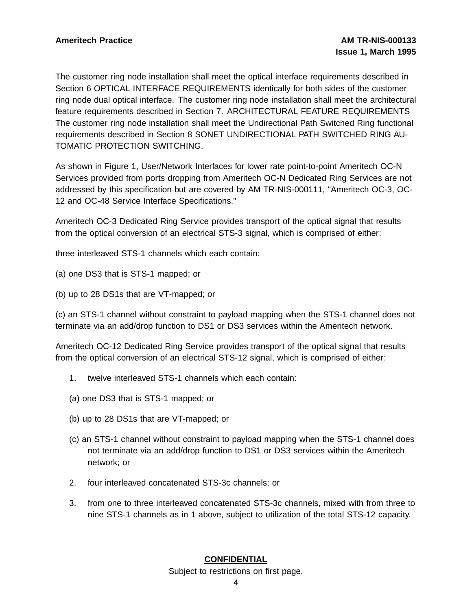The customer ring node installation shall meet the optical interface requirements described in Section 6 OPTICAL INTERFACE REQUIREMENTS identically for both sides of the customer ring node dual optical interface. The customer ring node installation shall meet the architectural feature requirements described in Section 7. ARCHITECTURAL FEATURE REQUIREMENTS The customer ring node installation shall meet the Undirectional Path Switched Ring functional requirements described in Section 8 SONET UNDIRECTIONAL PATH SWITCHED RING AU-TOMATIC PROTECTION SWITCHING.

As shown in Figure 1, User/Network Interfaces for lower rate point-to-point Ameritech OC-N Services provided from ports dropping from Ameritech OC-N Dedicated Ring Services are not addressed by this specification but are covered by AM TR-NIS-000111, "Ameritech OC-3, OC-12 and OC-48 Service Interface Specifications."

Ameritech OC-3 Dedicated Ring Service provides transport of the optical signal that results from the optical conversion of an electrical STS-3 signal, which is comprised of either:

three interleaved STS-1 channels which each contain:

- (a) one DS3 that is STS-1 mapped; or
- (b) up to 28 DS1s that are VT-mapped; or

(c) an STS-1 channel without constraint to payload mapping when the STS-1 channel does not terminate via an add/drop function to DS1 or DS3 services within the Ameritech network.

Ameritech OC-12 Dedicated Ring Service provides transport of the optical signal that results from the optical conversion of an electrical STS-12 signal, which is comprised of either:

- 1. twelve interleaved STS-1 channels which each contain:
- (a) one DS3 that is STS-1 mapped; or
- (b) up to 28 DS1s that are VT-mapped; or
- (c) an STS-1 channel without constraint to payload mapping when the STS-1 channel does not terminate via an add/drop function to DS1 or DS3 services within the Ameritech network; or
- 2. four interleaved concatenated STS-3c channels; or
- 3. from one to three interleaved concatenated STS-3c channels, mixed with from three to nine STS-1 channels as in 1 above, subject to utilization of the total STS-12 capacity.

#### **CONFIDENTIAL**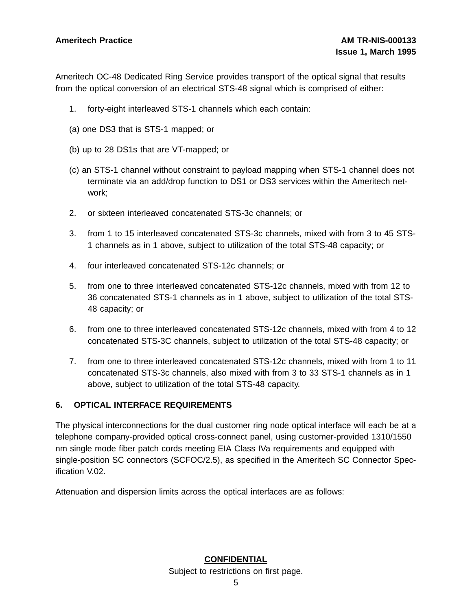Ameritech OC-48 Dedicated Ring Service provides transport of the optical signal that results from the optical conversion of an electrical STS-48 signal which is comprised of either:

- 1. forty-eight interleaved STS-1 channels which each contain:
- (a) one DS3 that is STS-1 mapped; or
- (b) up to 28 DS1s that are VT-mapped; or
- (c) an STS-1 channel without constraint to payload mapping when STS-1 channel does not terminate via an add/drop function to DS1 or DS3 services within the Ameritech network;
- 2. or sixteen interleaved concatenated STS-3c channels; or
- 3. from 1 to 15 interleaved concatenated STS-3c channels, mixed with from 3 to 45 STS-1 channels as in 1 above, subject to utilization of the total STS-48 capacity; or
- 4. four interleaved concatenated STS-12c channels; or
- 5. from one to three interleaved concatenated STS-12c channels, mixed with from 12 to 36 concatenated STS-1 channels as in 1 above, subject to utilization of the total STS-48 capacity; or
- 6. from one to three interleaved concatenated STS-12c channels, mixed with from 4 to 12 concatenated STS-3C channels, subject to utilization of the total STS-48 capacity; or
- 7. from one to three interleaved concatenated STS-12c channels, mixed with from 1 to 11 concatenated STS-3c channels, also mixed with from 3 to 33 STS-1 channels as in 1 above, subject to utilization of the total STS-48 capacity.

### **6. OPTICAL INTERFACE REQUIREMENTS**

The physical interconnections for the dual customer ring node optical interface will each be at a telephone company-provided optical cross-connect panel, using customer-provided 1310/1550 nm single mode fiber patch cords meeting EIA Class IVa requirements and equipped with single-position SC connectors (SCFOC/2.5), as specified in the Ameritech SC Connector Specification V.02.

Attenuation and dispersion limits across the optical interfaces are as follows:

# **CONFIDENTIAL** Subject to restrictions on first page.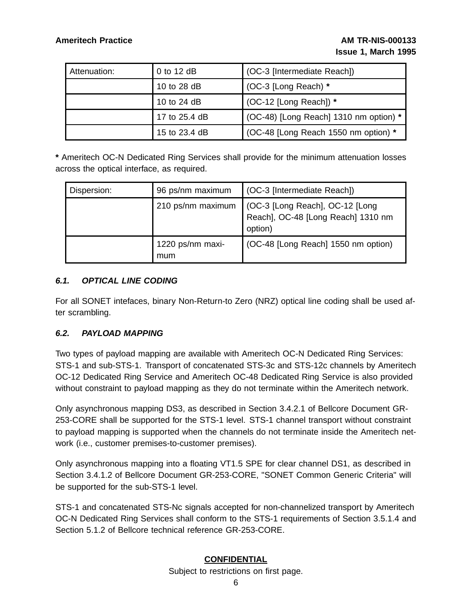| Attenuation: | (OC-3 [Intermediate Reach])<br>0 to 12 $dB$ |                                            |  |
|--------------|---------------------------------------------|--------------------------------------------|--|
|              | (OC-3 [Long Reach) *<br>10 to 28 dB         |                                            |  |
|              | 10 to 24 dB                                 | $(OC-12$ [Long Reach]) $*$                 |  |
|              | 17 to 25.4 dB                               | $(OC-48)$ [Long Reach] 1310 nm option) $*$ |  |
|              | 15 to 23.4 dB                               | (OC-48 [Long Reach 1550 nm option) *       |  |

**\*** Ameritech OC-N Dedicated Ring Services shall provide for the minimum attenuation losses across the optical interface, as required.

| Dispersion: | 96 ps/nm maximum        | (OC-3 [Intermediate Reach])                                                      |  |
|-------------|-------------------------|----------------------------------------------------------------------------------|--|
|             | 210 ps/nm maximum       | (OC-3 [Long Reach], OC-12 [Long<br>Reach], OC-48 [Long Reach] 1310 nm<br>option) |  |
|             | 1220 ps/nm maxi-<br>mum | (OC-48 [Long Reach] 1550 nm option)                                              |  |

### **6.1. OPTICAL LINE CODING**

For all SONET intefaces, binary Non-Return-to Zero (NRZ) optical line coding shall be used after scrambling.

### **6.2. PAYLOAD MAPPING**

Two types of payload mapping are available with Ameritech OC-N Dedicated Ring Services: STS-1 and sub-STS-1. Transport of concatenated STS-3c and STS-12c channels by Ameritech OC-12 Dedicated Ring Service and Ameritech OC-48 Dedicated Ring Service is also provided without constraint to payload mapping as they do not terminate within the Ameritech network.

Only asynchronous mapping DS3, as described in Section 3.4.2.1 of Bellcore Document GR-253-CORE shall be supported for the STS-1 level. STS-1 channel transport without constraint to payload mapping is supported when the channels do not terminate inside the Ameritech network (i.e., customer premises-to-customer premises).

Only asynchronous mapping into a floating VT1.5 SPE for clear channel DS1, as described in Section 3.4.1.2 of Bellcore Document GR-253-CORE, "SONET Common Generic Criteria" will be supported for the sub-STS-1 level.

STS-1 and concatenated STS-Nc signals accepted for non-channelized transport by Ameritech OC-N Dedicated Ring Services shall conform to the STS-1 requirements of Section 3.5.1.4 and Section 5.1.2 of Bellcore technical reference GR-253-CORE.

# **CONFIDENTIAL**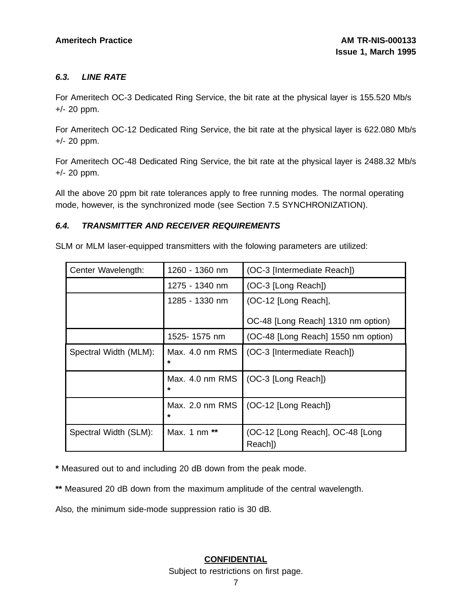## **6.3. LINE RATE**

For Ameritech OC-3 Dedicated Ring Service, the bit rate at the physical layer is 155.520 Mb/s +/- 20 ppm.

For Ameritech OC-12 Dedicated Ring Service, the bit rate at the physical layer is 622.080 Mb/s +/- 20 ppm.

For Ameritech OC-48 Dedicated Ring Service, the bit rate at the physical layer is 2488.32 Mb/s +/- 20 ppm.

All the above 20 ppm bit rate tolerances apply to free running modes. The normal operating mode, however, is the synchronized mode (see Section 7.5 SYNCHRONIZATION).

### **6.4. TRANSMITTER AND RECEIVER REQUIREMENTS**

SLM or MLM laser-equipped transmitters with the folowing parameters are utilized:

| 1260 - 1360 nm<br>Center Wavelength: |                            | (OC-3 [Intermediate Reach])                 |  |
|--------------------------------------|----------------------------|---------------------------------------------|--|
|                                      | 1275 - 1340 nm             | (OC-3 [Long Reach])                         |  |
|                                      | 1285 - 1330 nm             | (OC-12 [Long Reach],                        |  |
|                                      |                            | OC-48 [Long Reach] 1310 nm option)          |  |
|                                      | 1525-1575 nm               | (OC-48 [Long Reach] 1550 nm option)         |  |
| Spectral Width (MLM):                | Max. 4.0 nm RMS<br>$\star$ | (OC-3 [Intermediate Reach])                 |  |
|                                      | Max. 4.0 nm RMS<br>$\star$ | (OC-3 [Long Reach])                         |  |
|                                      | Max. 2.0 nm RMS<br>$\star$ | (OC-12 [Long Reach])                        |  |
| Spectral Width (SLM):                | Max. 1 nm $**$             | (OC-12 [Long Reach], OC-48 [Long<br>Reach]) |  |

**\*** Measured out to and including 20 dB down from the peak mode.

**\*\*** Measured 20 dB down from the maximum amplitude of the central wavelength.

Also, the minimum side-mode suppression ratio is 30 dB.

### **CONFIDENTIAL**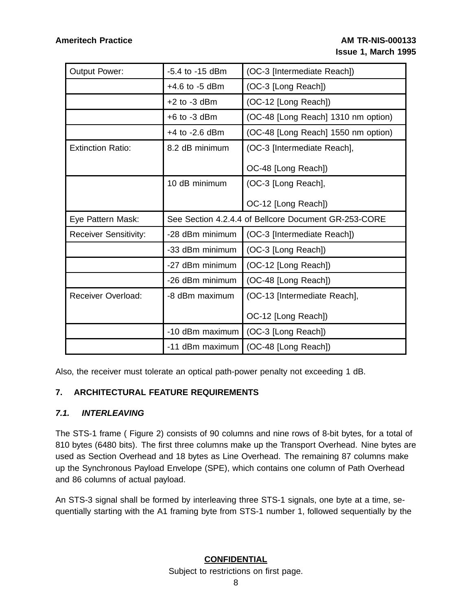| <b>Output Power:</b>         | $-5.4$ to $-15$ dBm                                  | (OC-3 [Intermediate Reach])         |  |
|------------------------------|------------------------------------------------------|-------------------------------------|--|
|                              | $+4.6$ to $-5$ dBm                                   | (OC-3 [Long Reach])                 |  |
|                              | $+2$ to $-3$ dBm                                     | (OC-12 [Long Reach])                |  |
|                              | $+6$ to $-3$ dBm                                     | (OC-48 [Long Reach] 1310 nm option) |  |
|                              | $+4$ to $-2.6$ dBm                                   | (OC-48 [Long Reach] 1550 nm option) |  |
| <b>Extinction Ratio:</b>     | 8.2 dB minimum                                       | (OC-3 [Intermediate Reach],         |  |
|                              |                                                      | OC-48 [Long Reach])                 |  |
|                              | 10 dB minimum                                        | (OC-3 [Long Reach],                 |  |
|                              |                                                      | OC-12 [Long Reach])                 |  |
| Eye Pattern Mask:            | See Section 4.2.4.4 of Bellcore Document GR-253-CORE |                                     |  |
| <b>Receiver Sensitivity:</b> | -28 dBm minimum<br>(OC-3 [Intermediate Reach])       |                                     |  |
|                              | -33 dBm minimum                                      | (OC-3 [Long Reach])                 |  |
|                              | -27 dBm minimum                                      | (OC-12 [Long Reach])                |  |
|                              | -26 dBm minimum                                      | (OC-48 [Long Reach])                |  |
| <b>Receiver Overload:</b>    | -8 dBm maximum                                       | (OC-13 [Intermediate Reach],        |  |
|                              |                                                      | OC-12 [Long Reach])                 |  |
|                              | -10 dBm maximum                                      | (OC-3 [Long Reach])                 |  |
|                              | -11 dBm maximum                                      | (OC-48 [Long Reach])                |  |

Also, the receiver must tolerate an optical path-power penalty not exceeding 1 dB.

# **7. ARCHITECTURAL FEATURE REQUIREMENTS**

### **7.1. INTERLEAVING**

The STS-1 frame ( Figure 2) consists of 90 columns and nine rows of 8-bit bytes, for a total of 810 bytes (6480 bits). The first three columns make up the Transport Overhead. Nine bytes are used as Section Overhead and 18 bytes as Line Overhead. The remaining 87 columns make up the Synchronous Payload Envelope (SPE), which contains one column of Path Overhead and 86 columns of actual payload.

An STS-3 signal shall be formed by interleaving three STS-1 signals, one byte at a time, sequentially starting with the A1 framing byte from STS-1 number 1, followed sequentially by the

### **CONFIDENTIAL**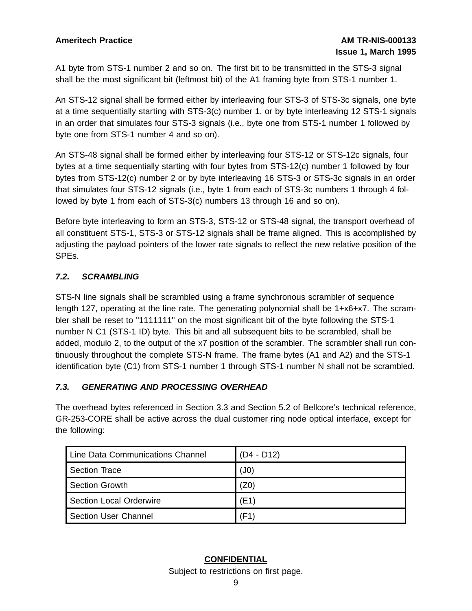A1 byte from STS-1 number 2 and so on. The first bit to be transmitted in the STS-3 signal shall be the most significant bit (leftmost bit) of the A1 framing byte from STS-1 number 1.

An STS-12 signal shall be formed either by interleaving four STS-3 of STS-3c signals, one byte at a time sequentially starting with STS-3(c) number 1, or by byte interleaving 12 STS-1 signals in an order that simulates four STS-3 signals (i.e., byte one from STS-1 number 1 followed by byte one from STS-1 number 4 and so on).

An STS-48 signal shall be formed either by interleaving four STS-12 or STS-12c signals, four bytes at a time sequentially starting with four bytes from STS-12(c) number 1 followed by four bytes from STS-12(c) number 2 or by byte interleaving 16 STS-3 or STS-3c signals in an order that simulates four STS-12 signals (i.e., byte 1 from each of STS-3c numbers 1 through 4 followed by byte 1 from each of STS-3(c) numbers 13 through 16 and so on).

Before byte interleaving to form an STS-3, STS-12 or STS-48 signal, the transport overhead of all constituent STS-1, STS-3 or STS-12 signals shall be frame aligned. This is accomplished by adjusting the payload pointers of the lower rate signals to reflect the new relative position of the SPEs.

# **7.2. SCRAMBLING**

STS-N line signals shall be scrambled using a frame synchronous scrambler of sequence length 127, operating at the line rate. The generating polynomial shall be 1+x6+x7. The scrambler shall be reset to "1111111" on the most significant bit of the byte following the STS-1 number N C1 (STS-1 ID) byte. This bit and all subsequent bits to be scrambled, shall be added, modulo 2, to the output of the x7 position of the scrambler. The scrambler shall run continuously throughout the complete STS-N frame. The frame bytes (A1 and A2) and the STS-1 identification byte (C1) from STS-1 number 1 through STS-1 number N shall not be scrambled.

# **7.3. GENERATING AND PROCESSING OVERHEAD**

The overhead bytes referenced in Section 3.3 and Section 5.2 of Bellcore's technical reference, GR-253-CORE shall be active across the dual customer ring node optical interface, except for the following:

| Line Data Communications Channel | $(D4 - D12)$ |
|----------------------------------|--------------|
| <b>Section Trace</b>             | $($ JO $)$   |
| <b>Section Growth</b>            | (Z0)         |
| <b>Section Local Orderwire</b>   | (E1)         |
| <b>Section User Channel</b>      | (F1)         |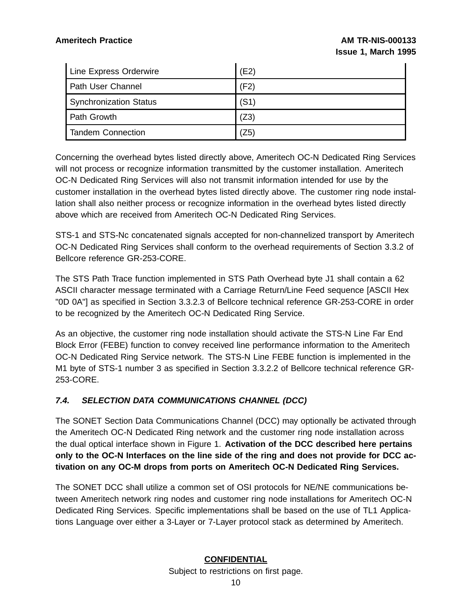| Line Express Orderwire        | (E2) |
|-------------------------------|------|
| Path User Channel             | (F2) |
| <b>Synchronization Status</b> | (S1) |
| Path Growth                   | (Z3) |
| <b>Tandem Connection</b>      | (Z5) |

Concerning the overhead bytes listed directly above, Ameritech OC-N Dedicated Ring Services will not process or recognize information transmitted by the customer installation. Ameritech OC-N Dedicated Ring Services will also not transmit information intended for use by the customer installation in the overhead bytes listed directly above. The customer ring node installation shall also neither process or recognize information in the overhead bytes listed directly above which are received from Ameritech OC-N Dedicated Ring Services.

STS-1 and STS-Nc concatenated signals accepted for non-channelized transport by Ameritech OC-N Dedicated Ring Services shall conform to the overhead requirements of Section 3.3.2 of Bellcore reference GR-253-CORE.

The STS Path Trace function implemented in STS Path Overhead byte J1 shall contain a 62 ASCII character message terminated with a Carriage Return/Line Feed sequence [ASCII Hex "0D 0A"] as specified in Section 3.3.2.3 of Bellcore technical reference GR-253-CORE in order to be recognized by the Ameritech OC-N Dedicated Ring Service.

As an objective, the customer ring node installation should activate the STS-N Line Far End Block Error (FEBE) function to convey received line performance information to the Ameritech OC-N Dedicated Ring Service network. The STS-N Line FEBE function is implemented in the M1 byte of STS-1 number 3 as specified in Section 3.3.2.2 of Bellcore technical reference GR-253-CORE.

# **7.4. SELECTION DATA COMMUNICATIONS CHANNEL (DCC)**

The SONET Section Data Communications Channel (DCC) may optionally be activated through the Ameritech OC-N Dedicated Ring network and the customer ring node installation across the dual optical interface shown in Figure 1. **Activation of the DCC described here pertains only to the OC-N Interfaces on the line side of the ring and does not provide for DCC activation on any OC-M drops from ports on Ameritech OC-N Dedicated Ring Services.**

The SONET DCC shall utilize a common set of OSI protocols for NE/NE communications between Ameritech network ring nodes and customer ring node installations for Ameritech OC-N Dedicated Ring Services. Specific implementations shall be based on the use of TL1 Applications Language over either a 3-Layer or 7-Layer protocol stack as determined by Ameritech.

# **CONFIDENTIAL**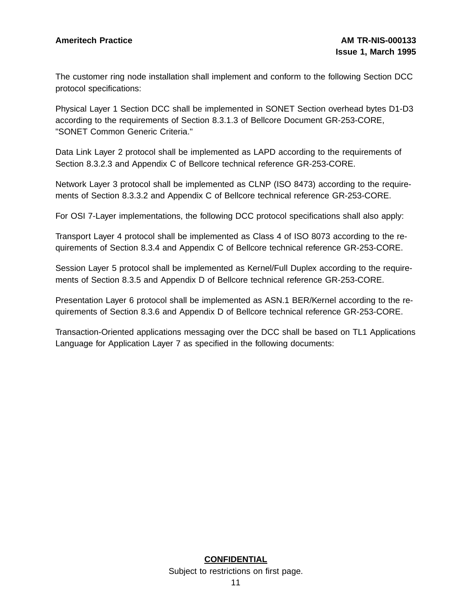The customer ring node installation shall implement and conform to the following Section DCC protocol specifications:

Physical Layer 1 Section DCC shall be implemented in SONET Section overhead bytes D1-D3 according to the requirements of Section 8.3.1.3 of Bellcore Document GR-253-CORE, "SONET Common Generic Criteria."

Data Link Layer 2 protocol shall be implemented as LAPD according to the requirements of Section 8.3.2.3 and Appendix C of Bellcore technical reference GR-253-CORE.

Network Layer 3 protocol shall be implemented as CLNP (ISO 8473) according to the requirements of Section 8.3.3.2 and Appendix C of Bellcore technical reference GR-253-CORE.

For OSI 7-Layer implementations, the following DCC protocol specifications shall also apply:

Transport Layer 4 protocol shall be implemented as Class 4 of ISO 8073 according to the requirements of Section 8.3.4 and Appendix C of Bellcore technical reference GR-253-CORE.

Session Layer 5 protocol shall be implemented as Kernel/Full Duplex according to the requirements of Section 8.3.5 and Appendix D of Bellcore technical reference GR-253-CORE.

Presentation Layer 6 protocol shall be implemented as ASN.1 BER/Kernel according to the requirements of Section 8.3.6 and Appendix D of Bellcore technical reference GR-253-CORE.

Transaction-Oriented applications messaging over the DCC shall be based on TL1 Applications Language for Application Layer 7 as specified in the following documents: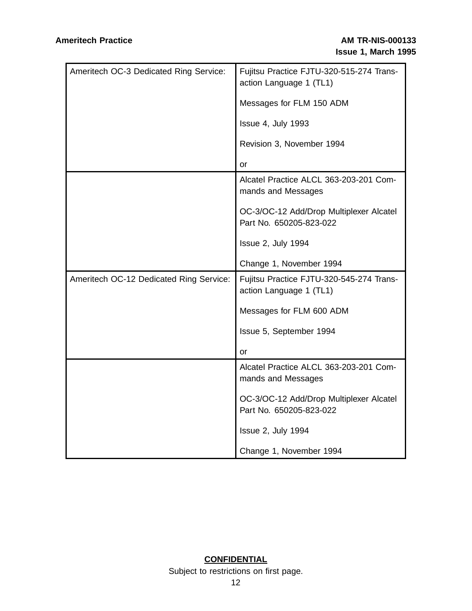| Ameritech OC-3 Dedicated Ring Service:  | Fujitsu Practice FJTU-320-515-274 Trans-<br>action Language 1 (TL1) |
|-----------------------------------------|---------------------------------------------------------------------|
|                                         | Messages for FLM 150 ADM                                            |
|                                         | Issue 4, July 1993                                                  |
|                                         | Revision 3, November 1994                                           |
|                                         | or                                                                  |
|                                         | Alcatel Practice ALCL 363-203-201 Com-<br>mands and Messages        |
|                                         | OC-3/OC-12 Add/Drop Multiplexer Alcatel<br>Part No. 650205-823-022  |
|                                         | Issue 2, July 1994                                                  |
|                                         | Change 1, November 1994                                             |
| Ameritech OC-12 Dedicated Ring Service: | Fujitsu Practice FJTU-320-545-274 Trans-<br>action Language 1 (TL1) |
|                                         | Messages for FLM 600 ADM                                            |
|                                         | Issue 5, September 1994                                             |
|                                         | or                                                                  |
|                                         | Alcatel Practice ALCL 363-203-201 Com-<br>mands and Messages        |
|                                         | OC-3/OC-12 Add/Drop Multiplexer Alcatel<br>Part No. 650205-823-022  |
|                                         | <b>Issue 2, July 1994</b>                                           |
|                                         | Change 1, November 1994                                             |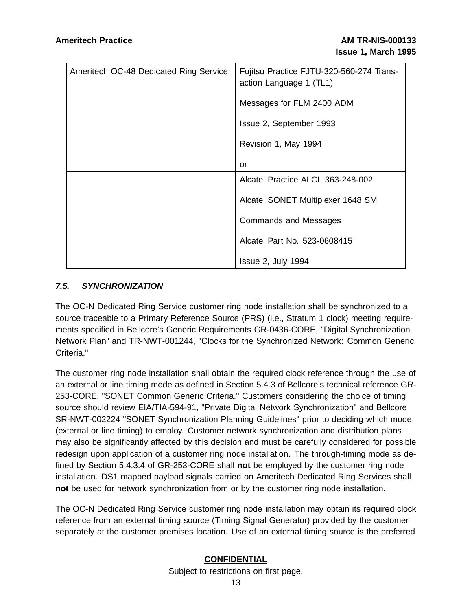| Ameritech OC-48 Dedicated Ring Service: | Fujitsu Practice FJTU-320-560-274 Trans-<br>action Language 1 (TL1) |  |
|-----------------------------------------|---------------------------------------------------------------------|--|
|                                         | Messages for FLM 2400 ADM                                           |  |
|                                         | Issue 2, September 1993                                             |  |
|                                         | Revision 1, May 1994                                                |  |
|                                         | or                                                                  |  |
|                                         | Alcatel Practice ALCL 363-248-002                                   |  |
|                                         | Alcatel SONET Multiplexer 1648 SM                                   |  |
|                                         | <b>Commands and Messages</b>                                        |  |
|                                         | Alcatel Part No. 523-0608415                                        |  |
|                                         | Issue 2, July 1994                                                  |  |

# **7.5. SYNCHRONIZATION**

The OC-N Dedicated Ring Service customer ring node installation shall be synchronized to a source traceable to a Primary Reference Source (PRS) (i.e., Stratum 1 clock) meeting requirements specified in Bellcore's Generic Requirements GR-0436-CORE, "Digital Synchronization Network Plan" and TR-NWT-001244, "Clocks for the Synchronized Network: Common Generic Criteria."

The customer ring node installation shall obtain the required clock reference through the use of an external or line timing mode as defined in Section 5.4.3 of Bellcore's technical reference GR-253-CORE, "SONET Common Generic Criteria." Customers considering the choice of timing source should review EIA/TIA-594-91, "Private Digital Network Synchronization" and Bellcore SR-NWT-002224 "SONET Synchronization Planning Guidelines" prior to deciding which mode (external or line timing) to employ. Customer network synchronization and distribution plans may also be significantly affected by this decision and must be carefully considered for possible redesign upon application of a customer ring node installation. The through-timing mode as defined by Section 5.4.3.4 of GR-253-CORE shall **not** be employed by the customer ring node installation. DS1 mapped payload signals carried on Ameritech Dedicated Ring Services shall **not** be used for network synchronization from or by the customer ring node installation.

The OC-N Dedicated Ring Service customer ring node installation may obtain its required clock reference from an external timing source (Timing Signal Generator) provided by the customer separately at the customer premises location. Use of an external timing source is the preferred

# **CONFIDENTIAL**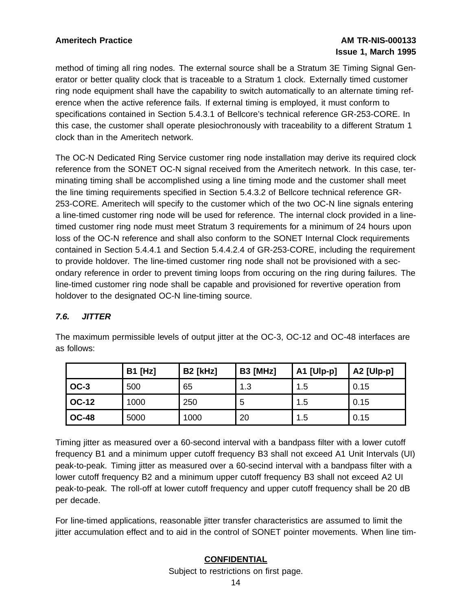# **Ameritech Practice AM TR-NIS-000133 Issue 1, March 1995**

method of timing all ring nodes. The external source shall be a Stratum 3E Timing Signal Generator or better quality clock that is traceable to a Stratum 1 clock. Externally timed customer ring node equipment shall have the capability to switch automatically to an alternate timing reference when the active reference fails. If external timing is employed, it must conform to specifications contained in Section 5.4.3.1 of Bellcore's technical reference GR-253-CORE. In this case, the customer shall operate plesiochronously with traceability to a different Stratum 1 clock than in the Ameritech network.

The OC-N Dedicated Ring Service customer ring node installation may derive its required clock reference from the SONET OC-N signal received from the Ameritech network. In this case, terminating timing shall be accomplished using a line timing mode and the customer shall meet the line timing requirements specified in Section 5.4.3.2 of Bellcore technical reference GR-253-CORE. Ameritech will specify to the customer which of the two OC-N line signals entering a line-timed customer ring node will be used for reference. The internal clock provided in a linetimed customer ring node must meet Stratum 3 requirements for a minimum of 24 hours upon loss of the OC-N reference and shall also conform to the SONET Internal Clock requirements contained in Section 5.4.4.1 and Section 5.4.4.2.4 of GR-253-CORE, including the requirement to provide holdover. The line-timed customer ring node shall not be provisioned with a secondary reference in order to prevent timing loops from occuring on the ring during failures. The line-timed customer ring node shall be capable and provisioned for revertive operation from holdover to the designated OC-N line-timing source.

# **7.6. JITTER**

|              | <b>B1 [Hz]</b> | <b>B2 [kHz]</b> | <b>B3 [MHz]</b> | A1 [Ulp-p] | A2 [Ulp-p] |
|--------------|----------------|-----------------|-----------------|------------|------------|
| $OC-3$       | 500            | 65              | 1.3             | 1.5        | 0.15       |
| <b>OC-12</b> | 1000           | 250             | 5               | 1.5        | 0.15       |
| <b>OC-48</b> | 5000           | 1000            | 20              | 1.5        | 0.15       |

The maximum permissible levels of output jitter at the OC-3, OC-12 and OC-48 interfaces are as follows:

Timing jitter as measured over a 60-second interval with a bandpass filter with a lower cutoff frequency B1 and a minimum upper cutoff frequency B3 shall not exceed A1 Unit Intervals (UI) peak-to-peak. Timing jitter as measured over a 60-secind interval with a bandpass filter with a lower cutoff frequency B2 and a minimum upper cutoff frequency B3 shall not exceed A2 UI peak-to-peak. The roll-off at lower cutoff frequency and upper cutoff frequency shall be 20 dB per decade.

For line-timed applications, reasonable jitter transfer characteristics are assumed to limit the jitter accumulation effect and to aid in the control of SONET pointer movements. When line tim-

# **CONFIDENTIAL**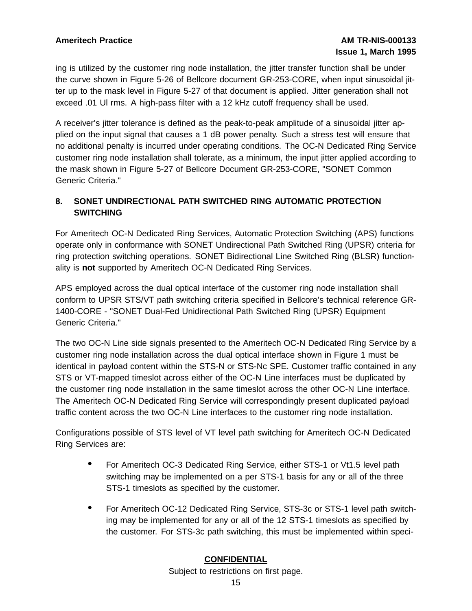ing is utilized by the customer ring node installation, the jitter transfer function shall be under the curve shown in Figure 5-26 of Bellcore document GR-253-CORE, when input sinusoidal jitter up to the mask level in Figure 5-27 of that document is applied. Jitter generation shall not exceed .01 Ul rms. A high-pass filter with a 12 kHz cutoff frequency shall be used.

A receiver's jitter tolerance is defined as the peak-to-peak amplitude of a sinusoidal jitter applied on the input signal that causes a 1 dB power penalty. Such a stress test will ensure that no additional penalty is incurred under operating conditions. The OC-N Dedicated Ring Service customer ring node installation shall tolerate, as a minimum, the input jitter applied according to the mask shown in Figure 5-27 of Bellcore Document GR-253-CORE, "SONET Common Generic Criteria."

# **8. SONET UNDIRECTIONAL PATH SWITCHED RING AUTOMATIC PROTECTION SWITCHING**

For Ameritech OC-N Dedicated Ring Services, Automatic Protection Switching (APS) functions operate only in conformance with SONET Undirectional Path Switched Ring (UPSR) criteria for ring protection switching operations. SONET Bidirectional Line Switched Ring (BLSR) functionality is **not** supported by Ameritech OC-N Dedicated Ring Services.

APS employed across the dual optical interface of the customer ring node installation shall conform to UPSR STS/VT path switching criteria specified in Bellcore's technical reference GR-1400-CORE - "SONET Dual-Fed Unidirectional Path Switched Ring (UPSR) Equipment Generic Criteria."

The two OC-N Line side signals presented to the Ameritech OC-N Dedicated Ring Service by a customer ring node installation across the dual optical interface shown in Figure 1 must be identical in payload content within the STS-N or STS-Nc SPE. Customer traffic contained in any STS or VT-mapped timeslot across either of the OC-N Line interfaces must be duplicated by the customer ring node installation in the same timeslot across the other OC-N Line interface. The Ameritech OC-N Dedicated Ring Service will correspondingly present duplicated payload traffic content across the two OC-N Line interfaces to the customer ring node installation.

Configurations possible of STS level of VT level path switching for Ameritech OC-N Dedicated Ring Services are:

- For Ameritech OC-3 Dedicated Ring Service, either STS-1 or Vt1.5 level path switching may be implemented on a per STS-1 basis for any or all of the three STS-1 timeslots as specified by the customer.
- For Ameritech OC-12 Dedicated Ring Service, STS-3c or STS-1 level path switching may be implemented for any or all of the 12 STS-1 timeslots as specified by the customer. For STS-3c path switching, this must be implemented within speci-

### **CONFIDENTIAL**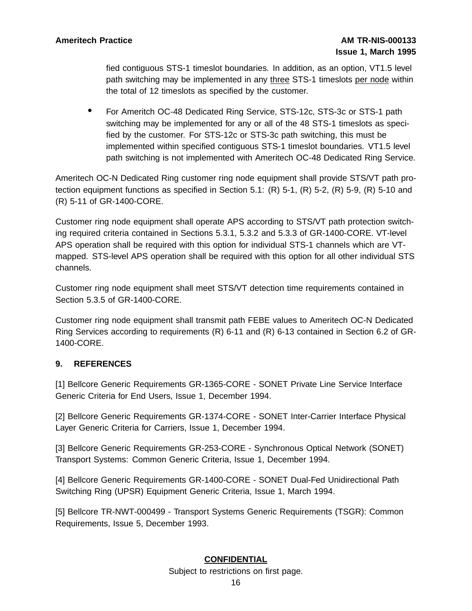fied contiguous STS-1 timeslot boundaries. In addition, as an option, VT1.5 level path switching may be implemented in any three STS-1 timeslots per node within the total of 12 timeslots as specified by the customer.

• For Ameritch OC-48 Dedicated Ring Service, STS-12c, STS-3c or STS-1 path switching may be implemented for any or all of the 48 STS-1 timeslots as specified by the customer. For STS-12c or STS-3c path switching, this must be implemented within specified contiguous STS-1 timeslot boundaries. VT1.5 level path switching is not implemented with Ameritech OC-48 Dedicated Ring Service.

Ameritech OC-N Dedicated Ring customer ring node equipment shall provide STS/VT path protection equipment functions as specified in Section 5.1: (R) 5-1, (R) 5-2, (R) 5-9, (R) 5-10 and (R) 5-11 of GR-1400-CORE.

Customer ring node equipment shall operate APS according to STS/VT path protection switching required criteria contained in Sections 5.3.1, 5.3.2 and 5.3.3 of GR-1400-CORE. VT-level APS operation shall be required with this option for individual STS-1 channels which are VTmapped. STS-level APS operation shall be required with this option for all other individual STS channels.

Customer ring node equipment shall meet STS/VT detection time requirements contained in Section 5.3.5 of GR-1400-CORE.

Customer ring node equipment shall transmit path FEBE values to Ameritech OC-N Dedicated Ring Services according to requirements (R) 6-11 and (R) 6-13 contained in Section 6.2 of GR-1400-CORE.

# **9. REFERENCES**

[1] Bellcore Generic Requirements GR-1365-CORE - SONET Private Line Service Interface Generic Criteria for End Users, Issue 1, December 1994.

[2] Bellcore Generic Requirements GR-1374-CORE - SONET Inter-Carrier Interface Physical Layer Generic Criteria for Carriers, Issue 1, December 1994.

[3] Bellcore Generic Requirements GR-253-CORE - Synchronous Optical Network (SONET) Transport Systems: Common Generic Criteria, Issue 1, December 1994.

[4] Bellcore Generic Requirements GR-1400-CORE - SONET Dual-Fed Unidirectional Path Switching Ring (UPSR) Equipment Generic Criteria, Issue 1, March 1994.

[5] Bellcore TR-NWT-000499 - Transport Systems Generic Requirements (TSGR): Common Requirements, Issue 5, December 1993.

### **CONFIDENTIAL**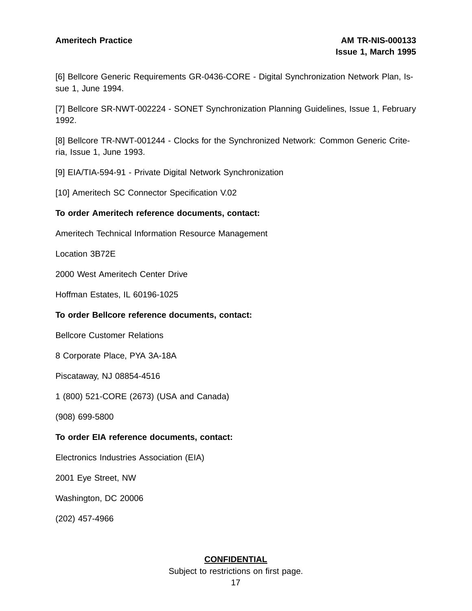[6] Bellcore Generic Requirements GR-0436-CORE - Digital Synchronization Network Plan, Issue 1, June 1994.

[7] Bellcore SR-NWT-002224 - SONET Synchronization Planning Guidelines, Issue 1, February 1992.

[8] Bellcore TR-NWT-001244 - Clocks for the Synchronized Network: Common Generic Criteria, Issue 1, June 1993.

[9] EIA/TIA-594-91 - Private Digital Network Synchronization

[10] Ameritech SC Connector Specification V.02

#### **To order Ameritech reference documents, contact:**

Ameritech Technical Information Resource Management

Location 3B72E

2000 West Ameritech Center Drive

Hoffman Estates, IL 60196-1025

#### **To order Bellcore reference documents, contact:**

Bellcore Customer Relations

8 Corporate Place, PYA 3A-18A

Piscataway, NJ 08854-4516

1 (800) 521-CORE (2673) (USA and Canada)

(908) 699-5800

### **To order EIA reference documents, contact:**

Electronics Industries Association (EIA)

2001 Eye Street, NW

Washington, DC 20006

(202) 457-4966

### **CONFIDENTIAL**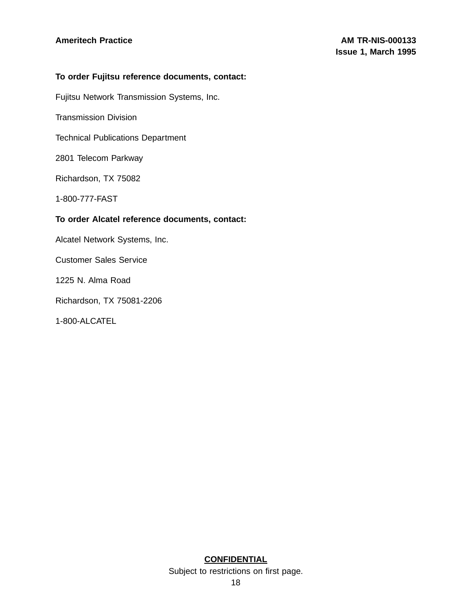#### **To order Fujitsu reference documents, contact:**

Fujitsu Network Transmission Systems, Inc.

Transmission Division

Technical Publications Department

2801 Telecom Parkway

Richardson, TX 75082

1-800-777-FAST

#### **To order Alcatel reference documents, contact:**

Alcatel Network Systems, Inc.

Customer Sales Service

1225 N. Alma Road

Richardson, TX 75081-2206

1-800-ALCATEL

# **CONFIDENTIAL**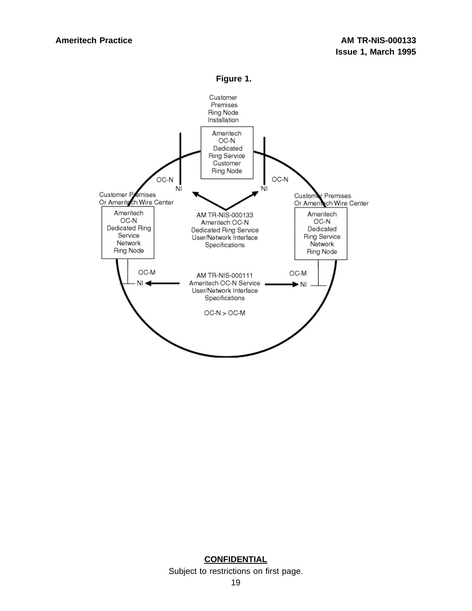**Figure 1.**



# **CONFIDENTIAL**